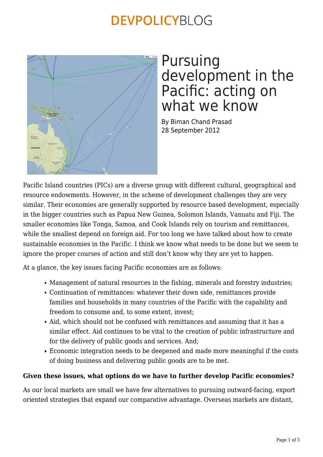### **DEVPOLICYBLOG**



### Pursuing development in the Pacific: acting on what we know

By Biman Chand Prasad 28 September 2012

Pacific Island countries (PICs) are a diverse group with different cultural, geographical and resource endowments. However, in the scheme of development challenges they are very similar. Their economies are generally supported by resource based development, especially in the bigger countries such as Papua New Guinea, Solomon Islands, Vanuatu and Fiji. The smaller economies like Tonga, Samoa, and Cook Islands rely on tourism and remittances, while the smallest depend on foreign aid. For too long we have talked about how to create sustainable economies in the Pacific. I think we know what needs to be done but we seem to ignore the proper courses of action and still don't know why they are yet to happen.

At a glance, the key issues facing Pacific economies are as follows:

- Management of natural resources in the fishing, minerals and forestry industries;
- Continuation of remittances: whatever their down side, remittances provide families and households in many countries of the Pacific with the capability and freedom to consume and, to some extent, invest;
- Aid, which should not be confused with remittances and assuming that it has a similar effect. Aid continues to be vital to the creation of public infrastructure and for the delivery of public goods and services. And;
- Economic integration needs to be deepened and made more meaningful if the costs of doing business and delivering public goods are to be met.

#### **Given these issues, what options do we have to further develop Pacific economies?**

As our local markets are small we have few alternatives to pursuing outward-facing, export oriented strategies that expand our comparative advantage. Overseas markets are distant,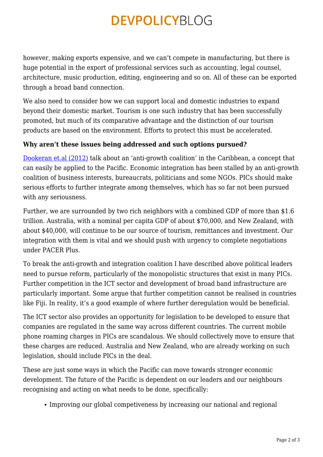## **DEVPOLICYBLOG**

however, making exports expensive, and we can't compete in manufacturing, but there is huge potential in the export of professional services such as accounting, legal counsel, architecture, music production, editing, engineering and so on. All of these can be exported through a broad band connection.

We also need to consider how we can support local and domestic industries to expand beyond their domestic market. Tourism is one such industry that has been successfully promoted, but much of its comparative advantage and the distinction of our tourism products are based on the environment. Efforts to protect this must be accelerated.

### **Why aren't these issues being addressed and such options pursued?**

[Dookeran et.al \(2012\)](http://www.wcfia.harvard.edu/node/7645) talk about an 'anti-growth coalition' in the Caribbean, a concept that can easily be applied to the Pacific. Economic integration has been stalled by an anti-growth coalition of business interests, bureaucrats, politicians and some NGOs. PICs should make serious efforts to further integrate among themselves, which has so far not been pursued with any seriousness.

Further, we are surrounded by two rich neighbors with a combined GDP of more than \$1.6 trillion. Australia, with a nominal per capita GDP of about \$70,000, and New Zealand, with about \$40,000, will continue to be our source of tourism, remittances and investment. Our integration with them is vital and we should push with urgency to complete negotiations under PACER Plus.

To break the anti-growth and integration coalition I have described above political leaders need to pursue reform, particularly of the monopolistic structures that exist in many PICs. Further competition in the ICT sector and development of broad band infrastructure are particularly important. Some argue that further competition cannot be realised in countries like Fiji. In reality, it's a good example of where further deregulation would be beneficial.

The ICT sector also provides an opportunity for legislation to be developed to ensure that companies are regulated in the same way across different countries. The current mobile phone roaming charges in PICs are scandalous. We should collectively move to ensure that these charges are reduced. Australia and New Zealand, who are already working on such legislation, should include PICs in the deal.

These are just some ways in which the Pacific can move towards stronger economic development. The future of the Pacific is dependent on our leaders and our neighbours recognising and acting on what needs to be done, specifically:

Improving our global competiveness by increasing our national and regional